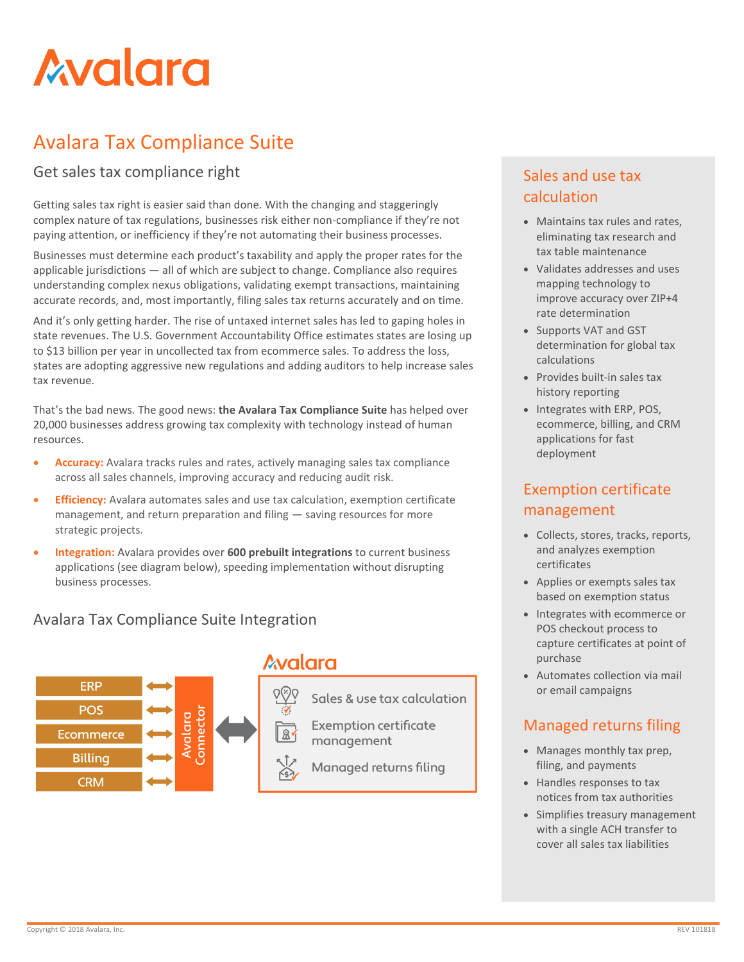# **Avalara**

## Avalara Tax Compliance Suite

#### Get sales tax compliance right

Getting sales tax right is easier said than done. With the changing and staggeringly complex nature of tax regulations, businesses risk either non-compliance if they're not paying attention, or inefficiency if they're not automating their business processes.

Businesses must determine each product's taxability and apply the proper rates for the applicable jurisdictions — all of which are subject to change. Compliance also requires understanding complex nexus obligations, validating exempt transactions, maintaining accurate records, and, most importantly, filing sales tax returns accurately and on time.

And it's only getting harder. The rise of untaxed internet sales has led to gaping holes in state revenues. The U.S. Government Accountability Office estimates states are losing up to \$13 billion per year in uncollected tax from ecommerce sales. To address the loss, states are adopting aggressive new regulations and adding auditors to help increase sales tax revenue.

That's the bad news. The good news: **the Avalara Tax Compliance Suite** has helped over 20,000 businesses address growing tax complexity with technology instead of human resources.

- Accuracy: Avalara tracks rules and rates, actively managing sales tax compliance across all sales channels, improving accuracy and reducing audit risk.
- **Efficiency:** Avalara automates sales and use tax calculation, exemption certificate management, and return preparation and filing — saving resources for more strategic projects.
- **Integration:** Avalara provides over **600 prebuilt integrations** to current business applications (see diagram below), speeding implementation without disrupting business processes.

#### Avalara Tax Compliance Suite Integration



### **Avalara**

Sales & use tax calculation

**Exemption certificate** management

Managed returns filing

#### Sales and use tax calculation

- Maintains tax rules and rates, eliminating tax research and tax table maintenance
- Validates addresses and uses mapping technology to improve accuracy over ZIP+4 rate determination
- Supports VAT and GST determination for global tax calculations
- Provides built-in sales tax history reporting
- Integrates with ERP, POS, ecommerce, billing, and CRM applications for fast deployment

#### Exemption certificate management

- Collects, stores, tracks, reports, and analyzes exemption certificates
- Applies or exempts sales tax based on exemption status
- Integrates with ecommerce or POS checkout process to capture certificates at point of purchase
- Automates collection via mail or email campaigns

#### Managed returns filing

- Manages monthly tax prep, filing, and payments
- Handles responses to tax notices from tax authorities
- Simplifies treasury management with a single ACH transfer to cover all sales tax liabilities